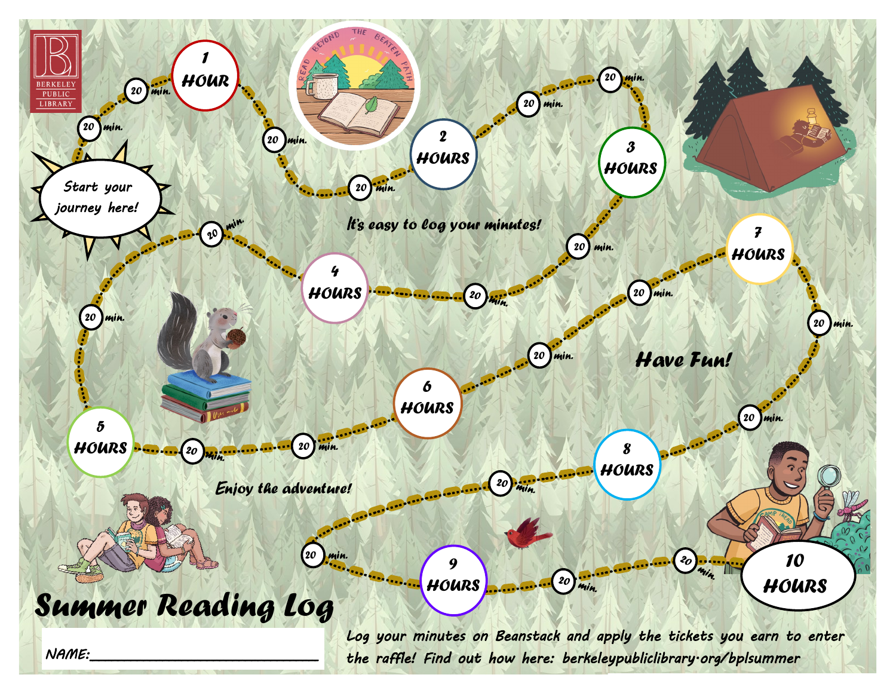